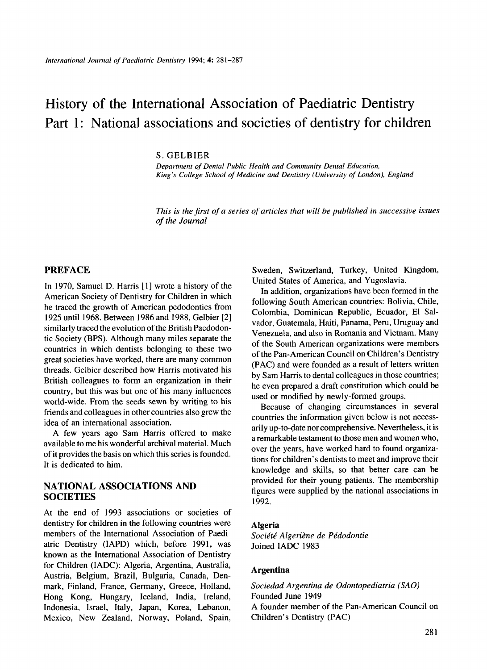# History of the International Association of Paediatric Dentistry Part 1: National associations and societies of dentistry for children

#### S. GELBIER

*Department of Dental Public Health and Community Dental Education, King's College School of Medicine and Dentistry (University of London), England* 

*This is the first of a series of articles that will be published in successive issues of the Journal* 

## **PREFACE**

In 1970, Samuel D. Harris [l] wrote a history of the American Society of Dentistry for Children in which he traced the growth of American pedodontics from 1925 until 1968. Between 1986 and 1988, Gelbier [2] similarly traced the evolution of the British Paedodontic Society (BPS). Although many miles separate the countries in which dentists belonging to these two great societies have worked, there are many common threads. Gelbier described how Harris motivated his British colleagues to form an organization in their country, but this was but one of his many influences world-wide. From the seeds sewn by writing to his friends and colleagues in other countries also grew the idea of an international association.

A few years ago Sam Harris offered to make available to me his wonderful archival material. Much of it provides the basis on which this series is founded. It is dedicated to him.

## **NATIONAL ASSOCIATIONS AND SOCIETIES**

At the end of 1993 associations or societies of dentistry for children in the following countries were members of the International Association of Paediatric Dentistry (IAPD) which, before 1991, was known as the International Association of Dentistry for Children (IADC): Algeria, Argentina, Australia, Austria, Belgium, Brazil, Bulgaria, Canada, Denmark, Finland, France, Germany, Greece, Holland, Hong Kong, Hungary, Iceland, India, Ireland, Indonesia, Israel, Italy, Japan, Korea, Lebanon, Mexico, New Zealand, Norway, Poland, Spain,

Sweden, Switzerland, Turkey, United Kingdom, United States of America, and Yugoslavia.

In addition, organizations have been formed in the following South American countries: Bolivia, Chile, Colombia, Dominican Republic, Ecuador, El Salvador, Guatemala, Haiti, Panama, Peru, Uruguay and Venezuela, and also in Romania and Vietnam. Many of the South American organizations were members of the Pan-American Council on Children's Dentistry (PAC) and were founded as a result of letters written by Sam Harris to dental colleagues in those countries; he even prepared a draft constitution which could be used or modified by newly-formed groups.

Because of changing circumstances in several countries the information given below is not necessarily up-to-date nor comprehensive. Nevertheless, it is a remarkable testament to those men and women who, over the years, have worked hard to found organizations for children's dentists to meet and improve their knowledge and skills, so that better care can be provided for their young patients. The membership figures were supplied by the national associations in 1992.

#### **Algeria**

Société Algeriène de Pédodontie Joined IADC 1983

#### **Argentina**

*Sociedad Argentina de Odontopediatria (SAO)*  Founded June 1949 A founder member of the Pan-American Council on Children's Dentistry (PAC)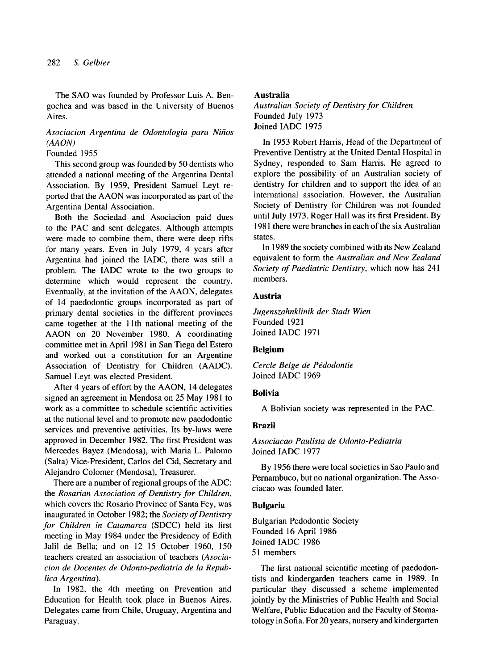The SAO was founded by Professor Luis A. Bengochea and was based in the University of Buenos Aires.

## *Asociacion Argentina de Odontologia para Nifios (MOW*

## Founded 1955

This second group was founded by 50 dentists who attended a national meeting of the Argentina Dental Association. By 1959, President Samuel Leyt reported that the AAON was incorporated as part of the Argentina Dental Association.

Both the Sociedad and Asociacion paid dues to the PAC and sent delegates. Although attempts were made to combine them, there were deep rifts for many years. Even in July 1979, 4 years after Argentina had joined the IADC, there was still a problem. The IADC wrote to the two groups to determine which would represent the country. Eventually, at the invitation of the AAON, delegates of 14 paedodontic groups incorporated as part of primary dental societies in the different provinces came together at the 1 lth national meeting of the AAON on 20 November 1980. A coordinating committee met in April 1981 in San Tiega del Estero and worked out a constitution for an Argentine Association of Dentistry for Children (AADC). Samuel Leyt was elected President.

After 4 years of effort by the AAON, 14 delegates signed an agreement in Mendosa on 25 May 1981 to work as a committee to schedule scientific activities at the national level and to promote new paedodontic services and preventive activities. Its by-laws were approved in December 1982. The first President was Mercedes Bayez (Mendosa), with Maria L. Palomo (Salta) Vice-president, Carlos del Cid, Secretary and Alejandro Colomer (Mendosa), Treasurer.

There are a number of regional groups of the ADC: the *Rosarian Association of Dentistry for Children,*  which covers the Rosario Province of Santa Fey, was inaugurated in October 1982; the *Society of Dentistry for Children in Catarnarca* (SDCC) held its first meeting in May 1984 under the Presidency of Edith Jalil de Bella; and on 12-15 October 1960, 150 teachers created an association of teachers *(Asociacion de Docentes de Odonto-pediatria de la Republica Argentina).* 

In 1982, the 4th meeting on Prevention and Education for Health took place in Buenos Aires. Delegates came from Chile, Uruguay, Argentina and Paraguay.

#### **Australia**

*Australian Society* of *Dentistry for Children*  Founded July 1973 Joined IADC 1975

In 1953 Robert Harris, Head of the Department of Preventive Dentistry at the United Dental Hospital in Sydney, responded to Sam Harris. He agreed to explore the possibility of an Australian society of dentistry for children and to support the idea of an international association. However, the Australian Society of Dentistry for Children was not founded until July 1973. Roger Hall was its first President. By 198 1 there were branches in each of the six Australian states.

In 1989 the society combined with its New Zealand equivalent to form the *Australian and New Zealand Society of Paediatric Dentistry,* which now has 241 members.

### **Austria**

*Jugenszahnklinik der Stadt Wien*  Founded 1921 Joined IADC 197 1

#### **Belgium**

**Cercle Belge de Pédodontie** Joined IADC 1969

#### **Bolivia**

A Bolivian society was represented in the PAC.

## **Brazil**

*Associacao Paulista de Odonto-Pediatria*  Joined IADC 1977

By 1956 there were local societies in Sao Paulo and Pernambuco, but no national organization. The Associacao was founded later.

#### **Bulgaria**

Bulgarian Pedodontic Society Founded 16 April 1986 Joined IADC 1986 51 members

The first national scientific meeting of paedodontists and kindergarden teachers came in 1989. In particular they discussed a scheme implemented jointly by the Ministries of Public Health and Social Welfare, Public Education and the Faculty of Stomatology in Sofia. For 20 years, nursery and kindergarten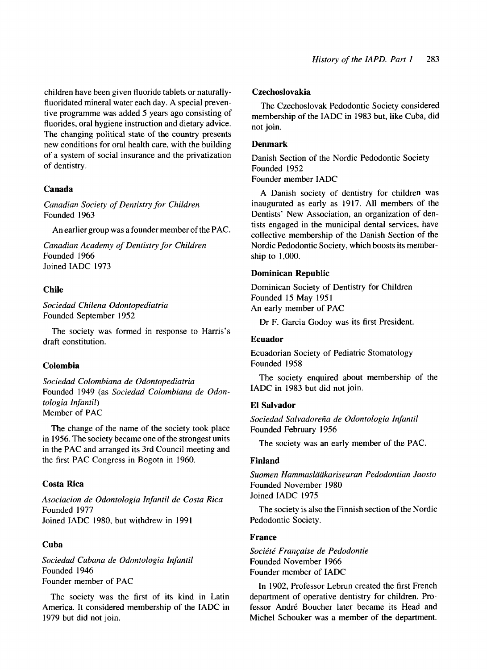children have been given fluoride tablets or naturallyfluoridated mineral water each day. A special preventive programme was added *5* years ago consisting of fluorides, oral hygiene instruction and dietary advice. The changing political state of the country presents new conditions for oral health care, with the building of a system of social insurance and the privatization of dentistry.

## **Canada**

*Canadian Society of Dentistry for Children*  Founded 1963

An earlier group was a founder member of the PAC.

*Canadian Academy* of *Dentistry for Children*  Founded 1966 Joined IADC 1973

## **Chile**

*Sociedad Chilena Odontopediatria*  Founded September 1952

draft constitution. The society was formed in response to Harris's

## **Colombia**

*Sociedad Colombiana de Odontopediatria*  Founded 1949 (as *Sociedad Colombiana de Odonrologia Infanril)*  Member of PAC

The change of the name of the society took place in 1956. The society became one of the strongest units in the PAC and arranged its 3rd Council meeting and the first PAC Congress in Bogota in 1960.

## **Costa Rica**

*Asociacion de Odontologia Infantil de Costa Rica*  Founded 1977 Joined IADC 1980, but withdrew in 1991

## **Cuba**

*Sociedad Cubana de Odontologia Infantil*  Founded 1946 Founder member of PAC

The society was the first of its kind in Latin America. It considered membership of the IADC in 1979 but did not join.

#### **Czechoslovakia**

The Czechoslovak Pedodontic Society considered membership of the IADC in 1983 but, like Cuba, did not join.

## **Denmark**

Danish Section of the Nordic Pedodontic Society Founded 1952

## Founder member IADC

A Danish society of dentistry for children was inaugurated as early as 1917. All members of the Dentists' New Association, an organization of dentists engaged in the municipal dental services, have collective membership of the Danish Section of the Nordic Pedodontic Society, which boosts its membership to 1,000.

## **Dominican Republic**

Dominican Society of Dentistry for Children Founded 15 May 1951 An early member of PAC

Dr F. Garcia Godoy was its first President.

## **Ecuador**

Ecuadorian Society of Pediatric Stomatology Founded 1958

IADC in 1983 but did not join. The society enquired about membership of the

## **El Salvador**

Sociedad Salvadoreña de Odontologia Infantil Founded February 1956

The society was an early member of the PAC.

## **Finland**

*Suomen Hammaslaakariseuran Pedodontian Jaosto*  Founded November 1980 Joined IADC 1975

Pedodontic Society. The society is also the Finnish section of the Nordic

## **France**

*Socie'te' FranGaise de Pedodontie*  Founded November 1966 Founder member of IADC

In 1902, Professor Lebrun created the first French department of operative dentistry for children. Professor André Boucher later became its Head and Michel Schouker was a member of the department.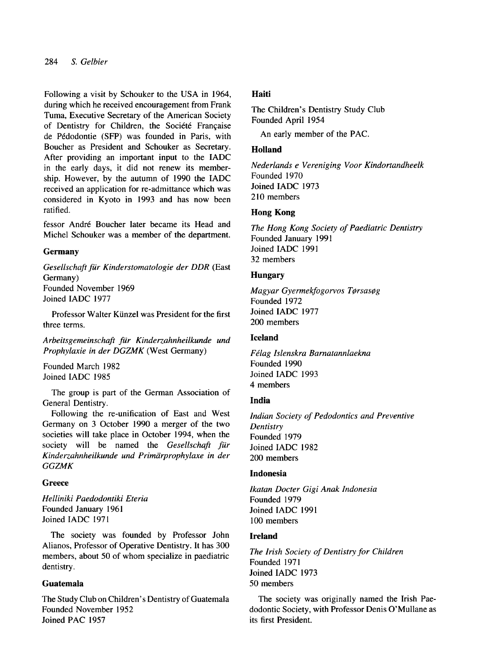## 284 *S. Gelbier*

Following a visit by Schouker to the USA in 1964, during which he received encouragement from Frank Tuma, Executive Secretary of the American Society of Dentistry for Children, the Société Française de Pédodontie (SFP) was founded in Paris, with Boucher as President and Schouker as Secretary. After providing an important input to the IADC in the early days, it did not renew its membership. However, by the autumn of 1990 the IADC received an application for re-admittance which was considered in Kyoto in 1993 and has now been ratified.

fessor André Boucher later became its Head and Michel Schouker was a member of the department.

## **Germany**

*Gesellschaft fur Kinderstomatologie der DDR* (East Germany) Founded November 1969

Joined IADC 1977

Professor Walter Künzel was President for the first three terms.

*Arbeitsgemeinschaft fur Kinderzahnheilkunde und Prophylaxie in der DGZMK* (West Germany)

Founded March 1982 Joined IADC 1985

The group is part of the German Association of General Dentistry.

Following the re-unification of East and West Germany on 3 October 1990 a merger of the two societies will take place in October 1994, when the society will be named the *Gesellschaji fur Kinderzahnheilkunde und Primarprophylaxe in der GGZMK* 

#### **Greece**

*Helliniki Paedodontiki Eteria*  Founded January 1961 Joined IADC 1971

The society was founded by Professor John Alianos, Professor of Operative Dentistry. It has 300 members, about 50 of whom specialize in paediatric dentistry.

## **Guatemala**

The Study Club on Children's Dentistry of Guatemala Founded November 1952 Joined PAC 1957

### **Haiti**

The Children's Dentistry Study Club Founded April 1954

An early member of the PAC.

## **Holland**

*Nederlands e Vereniging Voor Kindortandheelk*  Founded 1970 Joined IADC 1973 210 members

### **Hong Kong**

*The Hong Kong Society* of *Paediatric Dentistry*  Founded January 1991 Joined IADC 1991 32 members

## **Hungary**

*Magyar Gyermekfogowos T@rsas@g*  Founded 1972 Joined IADC 1977 200 members

#### **Iceland**

*Fklag Islenskra Barnatannlaekna*  Founded 1990 Joined IADC 1993 **4** members

## **India**

*Indian Society* of *Pedodontics and Preventive Dentistry*  Founded 1979 Joined IADC 1982 200 members

#### **Indonesia**

*Ikatan Docter Gigi Anak Indonesia*  Founded 1979 Joined IADC 1991 100 members

#### **Ireland**

*The Irish Society* of *Dentistry for Children*  Founded 1971 Joined IADC 1973 50 members

The society was originally named the Irish Paedodontic Society, with Professor Denis O'Mullane as its first President.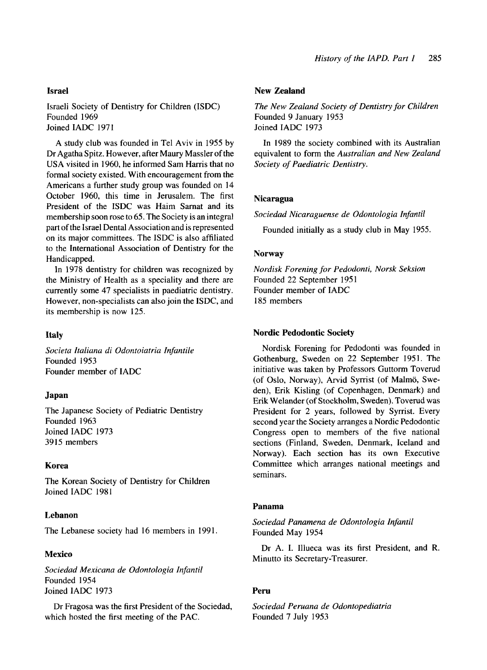#### **Israel**

Israeli Society of Dentistry for Children (ISDC) Founded 1969 Joined IADC 1971

A study club was founded in Tel Aviv in 1955 by Dr Agatha Spitz. However, after Maury Massler of the USA visited in 1960, he informed Sam Harris that no formal society existed. With encouragement from the Americans a further study group was founded on 14 October 1960, this time in Jerusalem. The first President of the ISDC was Haim Sarnat and its membership soon rose to 65. The Society is an integral part of the Israel Dental Association and is represented on its major committees. The ISDC is also affiliated to the International Association of Dentistry for the Handicapped.

In 1978 dentistry for children was recognized by the Ministry of Health as a speciality and there are currently some 47 specialists in paediatric dentistry. However, non-specialists can also join the ISDC, and its membership is now 125.

#### **Italy**

*Societa Italiana di Odontoiatria Infantile*  Founded 1953 Founder member of IADC

#### **Japan**

The Japanese Society of Pediatric Dentistry Founded 1963 Joined IADC 1973 3915 members

#### **Korea**

The Korean Society of Dentistry for Children Joined IADC 198 1

#### **Lebanon**

The Lebanese society had 16 members in 1991

### **Mexico**

*Sociedad Mexicana de Odontologiu Infantil*  Founded 1954 Joined IADC 1973

Dr Fragosa was the first President of the Sociedad, which hosted the first meeting of the PAC.

#### **New Zealand**

*The New Zealand Society of Dentistry for Children*  Founded 9 January 1953 Joined IADC 1973

In 1989 the society combined with its Australian equivalent to form the *Australian and New Zealand Society of Paediatric Dentistry.* 

#### **Nicaragua**

*Sociedad Nicaraguense de Odontologia Infantil* 

Founded initially as a study club in May 1955.

#### **Norway**

*Nordisk Forening for Pedodonti, Norsk Seksion*  Founded 22 September 1951 Founder member of IADC 185 members

#### **Nordic Pedodontic Society**

Nordisk Forening for Pedodonti was founded in Gothenburg, Sweden on 22 September 1951. The initiative was taken by Professors Guttorm Toverud (of Oslo, Norway), Arvid Syrrist (of Malmö, Sweden), Erik Kisling (of Copenhagen, Denmark) and Erik Welander (of Stockholm, Sweden). Toverud was President for 2 years, followed by Syrrist. Every second year the Society arranges a Nordic Pedodontic Congress open to members of the five national sections (Finland, Sweden, Denmark, Iceland and Norway). Each section has its own Executive Committee which arranges national meetings and seminars.

#### **Panama**

*Sociedud Panamena de Odontologia Infantil*  Founded May 1954

Minutto its Secretary-Treasurer. Dr A. I. Illueca was its first President, and R.

## **Peru**

*Sociedud Peruana de Odontopediatria*  Founded 7 July 1953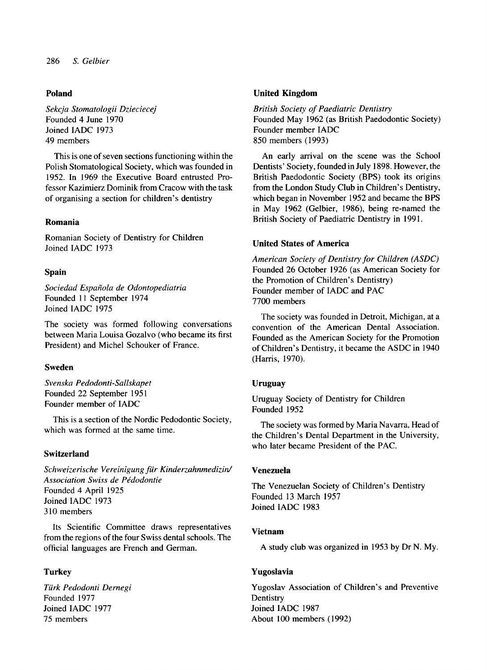## **Poland**

*Sekcja Stomatologii Dzieciecej*  Founded **4** June 1970 Joined IADC 1973 49 members

This is one of seven sections functioning within the Polish Stomatological Society, which was founded in 1952. In 1969 the Executive Board entrusted Professor Kazimierz Dominik from Cracow with the task of organising a section for children's dentistry

Romanian Society of Dentistry for Children Joined IADC 1973

#### **Spain**

*Sociedad Espaiiola de Odontopediatria*  Founded **11** September 1974 Joined IADC 1975

The society was formed following conversations between Maria Louisa Gozalvo (who became its first President) and Michel Schouker of France.

## **Sweden**

*Svenska Pedodonti-Sallskapet*  Founded 22 September 1951 Founder member of IADC

This is a section of the Nordic Pedodontic Society, which was formed at the same time.

## **Switzerland**

*Schweizerische Vereinigung fur Kinderzahnmedizid*  **Association Swiss de Pédodontie** Founded 4 April 1925 Joined IADC 1973 3 **10** members

Its Scientific Committee draws representatives from the regions of the four Swiss dental schools. The official languages are French and German.

## **Turkey**

*Turk Pedodonti Dernegi*  Founded 1977 Joined IADC 1977 75 members

## **United Kingdom**

*British Society of Paediatric Dentistry*  Founded May 1962 (as British Paedodontic Society) Founder member IADC 850 members (1993)

An early arrival on the scene was the School Dentists' Society, founded in July 1898. However, the British Paedodontic Society (BPS) took its origins from the London Study Club in Children's Dentistry, which began in November 1952 and became the BPS in May 1962 (Gelbier, 1986), being re-named the British Society of Paediatric Dentistry in 1991. **Romania** 

### **United States of America**

*American Society of Dentistry for Children (ASDC)*  Founded 26 October 1926 (as American Society for the Promotion of Children's Dentistry) Founder member of IADC and PAC 7700 members

The society was founded in Detroit, Michigan, at a convention of the American Dental Association. Founded as the American Society for the Promotion of Children's Dentistry, it became the ASDC in 1940 (Harris, 1970).

#### **Uruguay**

Uruguay Society of Dentistry for Children Founded 1952

The society was formed by Maria Navarra, Head of the Children's Dental Department in the University, who later became President of the PAC.

## **Venezuela**

The Venezuelan Society of Children's Dentistry Founded 13 March 1957 Joined IADC 1983

#### **Vietnam**

A study club was organized in 1953 by Dr N. My.

#### **Yugoslavia**

Yugoslav Association of Children's and Preventive **Dentistry** Joined IADC 1987 About 100 members **(I** 992)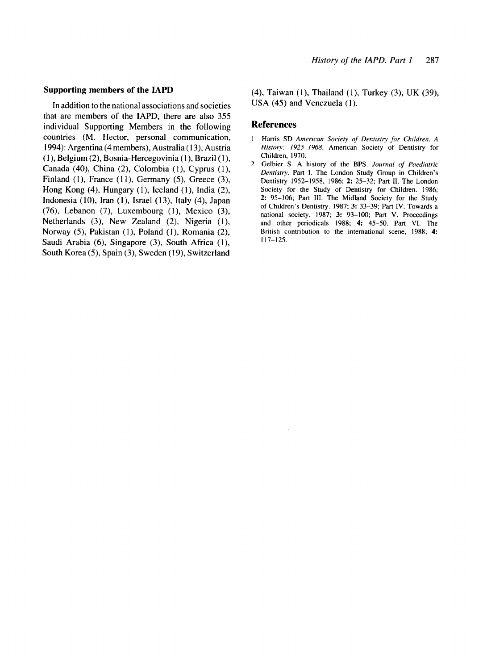#### **Supporting members of the IAPD**

In addition to the national associations and societies that are members of the IAPD, there are also 355 individual Supporting Members in the following countries (M. Hector, personal communication, 1994): Argentina (4 members), Australia ( 13), Austria (I), Belgium *(2),* Bosnia-Hercegovinia (1), Brazil (l), Canada **(40),** China (2), Colombia (l), Cyprus (l), Finland  $(1)$ , France  $(11)$ , Germany  $(5)$ , Greece  $(3)$ , Hong Kong (4), Hungary (l), Iceland (l), India (2), Indonesia (10), Iran (1), Israel (13), Italy (4), Japan *(76),* Lebanon *(7),* Luxembourg (l), Mexico **(3),**  Netherlands (3), New Zealand *(2),* Nigeria (l), Norway (3, Pakistan (l), Poland (I), Romania *(2),*  Saudi Arabia *(6),* Singapore (3), South Africa (l), South Korea (3, Spain (3), Sweden *(19),* Switzerland

(4), Taiwan (I), Thailand (l), Turkey (3), UK (39), USA (45) and Venezuela (1).

#### **References**

- **<sup>1</sup>Hams** SD *American Society of Deniisiry for Children. A Histop: 1925-1968.* American Society of Dentistry for Children, 1970.
- 2 Gelbier S. A history of the BPS. Journal of Paediatric *Deniisiry.* Part **1.** The London Study Group in Children's Dentistry 1952-1958, 1986; **2:** 25-32; Part **11.** The London Society for the Study of Dentistry for Children. 1986; **2:** 95-106; Part **111.** The Midland Society for the Study of Children's Dentistry. 1987; **3:** 33-39; Part **IV.** Towards a national society. 1987; **3:** 93-100; Part **V.** Proceedings and other periodicals 1988; **4:** 45-50. Part **VI.** The British contribution to the international scene, 1988; **4:**  117-125.